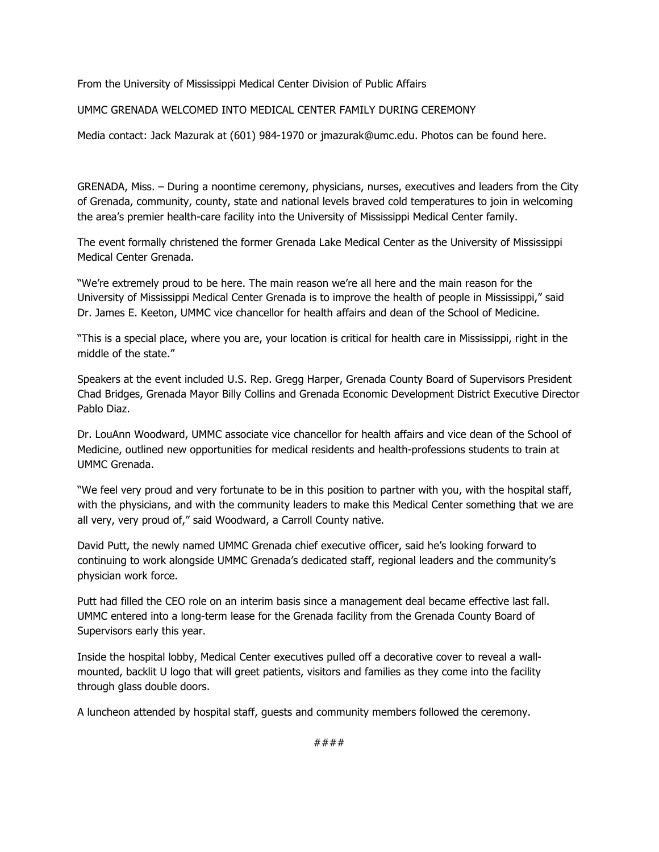From the University of Mississippi Medical Center Division of Public Affairs

UMMC GRENADA WELCOMED INTO MEDICAL CENTER FAMILY DURING CEREMONY

Media contact: Jack Mazurak at (601) 984-1970 or jmazurak@umc.edu. Photos can be found here.

GRENADA, Miss. – During a noontime ceremony, physicians, nurses, executives and leaders from the City of Grenada, community, county, state and national levels braved cold temperatures to join in welcoming the area's premier health-care facility into the University of Mississippi Medical Center family.

The event formally christened the former Grenada Lake Medical Center as the University of Mississippi Medical Center Grenada.

"We're extremely proud to be here. The main reason we're all here and the main reason for the University of Mississippi Medical Center Grenada is to improve the health of people in Mississippi," said Dr. James E. Keeton, UMMC vice chancellor for health affairs and dean of the School of Medicine.

"This is a special place, where you are, your location is critical for health care in Mississippi, right in the middle of the state."

Speakers at the event included U.S. Rep. Gregg Harper, Grenada County Board of Supervisors President Chad Bridges, Grenada Mayor Billy Collins and Grenada Economic Development District Executive Director Pablo Diaz.

Dr. LouAnn Woodward, UMMC associate vice chancellor for health affairs and vice dean of the School of Medicine, outlined new opportunities for medical residents and health-professions students to train at UMMC Grenada.

"We feel very proud and very fortunate to be in this position to partner with you, with the hospital staff, with the physicians, and with the community leaders to make this Medical Center something that we are all very, very proud of," said Woodward, a Carroll County native.

David Putt, the newly named UMMC Grenada chief executive officer, said he's looking forward to continuing to work alongside UMMC Grenada's dedicated staff, regional leaders and the community's physician work force.

Putt had filled the CEO role on an interim basis since a management deal became effective last fall. UMMC entered into a long-term lease for the Grenada facility from the Grenada County Board of Supervisors early this year.

Inside the hospital lobby, Medical Center executives pulled off a decorative cover to reveal a wallmounted, backlit U logo that will greet patients, visitors and families as they come into the facility through glass double doors.

A luncheon attended by hospital staff, guests and community members followed the ceremony.